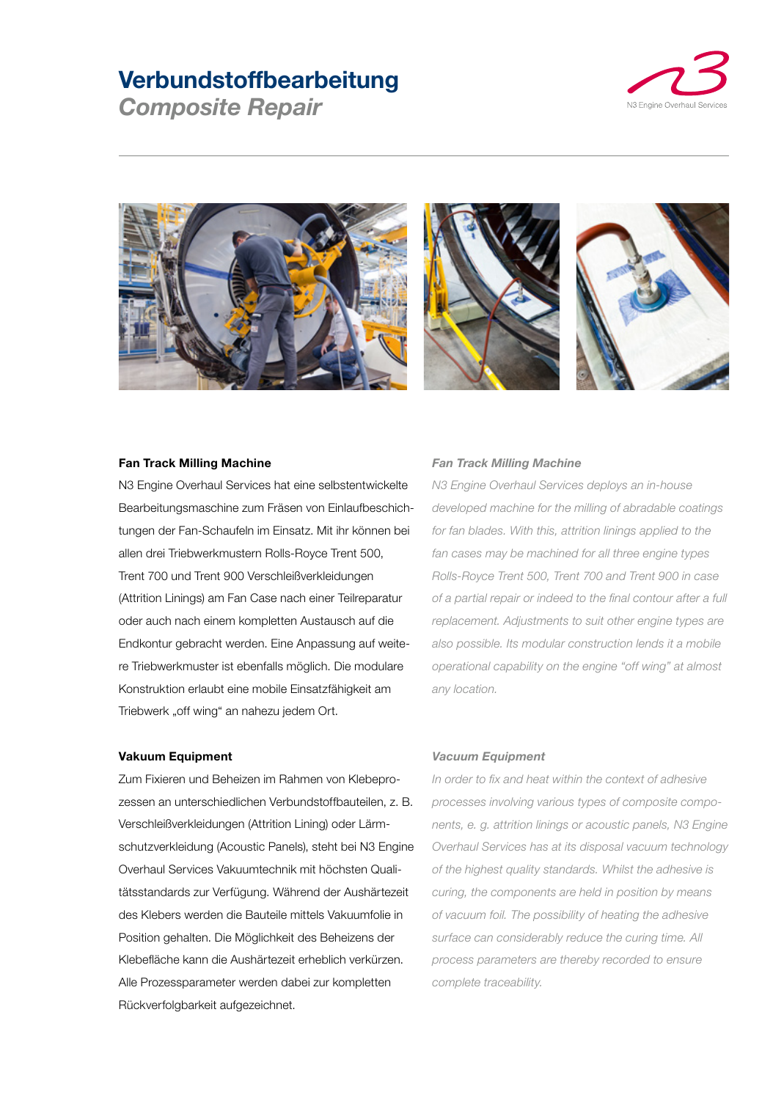# **Verbundstoffbearbeitung**

*Composite Repair*







### **Fan Track Milling Machine**

N3 Engine Overhaul Services hat eine selbstentwickelte Bearbeitungsmaschine zum Fräsen von Einlaufbeschichtungen der Fan-Schaufeln im Einsatz. Mit ihr können bei allen drei Triebwerkmustern Rolls-Royce Trent 500, Trent 700 und Trent 900 Verschleißverkleidungen (Attrition Linings) am Fan Case nach einer Teilreparatur oder auch nach einem kompletten Austausch auf die Endkontur gebracht werden. Eine Anpassung auf weitere Triebwerkmuster ist ebenfalls möglich. Die modulare Konstruktion erlaubt eine mobile Einsatzfähigkeit am Triebwerk "off wing" an nahezu jedem Ort.

#### **Vakuum Equipment**

Zum Fixieren und Beheizen im Rahmen von Klebeprozessen an unterschiedlichen Verbundstoffbauteilen, z. B. Verschleißverkleidungen (Attrition Lining) oder Lärmschutzverkleidung (Acoustic Panels), steht bei N3 Engine Overhaul Services Vakuumtechnik mit höchsten Qualitätsstandards zur Verfügung. Während der Aushärtezeit des Klebers werden die Bauteile mittels Vakuumfolie in Position gehalten. Die Möglichkeit des Beheizens der Klebefläche kann die Aushärtezeit erheblich verkürzen. Alle Prozessparameter werden dabei zur kompletten Rückverfolgbarkeit aufgezeichnet.

## *Fan Track Milling Machine*

*N3 Engine Overhaul Services deploys an in-house developed machine for the milling of abradable coatings for fan blades. With this, attrition linings applied to the fan cases may be machined for all three engine types Rolls-Royce Trent 500, Trent 700 and Trent 900 in case of a partial repair or indeed to the final contour after a full replacement. Adjustments to suit other engine types are also possible. Its modular construction lends it a mobile operational capability on the engine "off wing" at almost any location.*

#### *Vacuum Equipment*

*In order to fix and heat within the context of adhesive processes involving various types of composite components, e. g. attrition linings or acoustic panels, N3 Engine Overhaul Services has at its disposal vacuum technology of the highest quality standards. Whilst the adhesive is curing, the components are held in position by means of vacuum foil. The possibility of heating the adhesive surface can considerably reduce the curing time. All process parameters are thereby recorded to ensure complete traceability.*